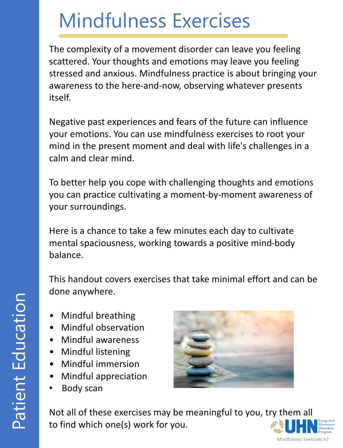The complexity of a movement disorder can leave you feeling scattered. Your thoughts and emotions may leave you feeling stressed and anxious. Mindfulness practice is about bringing your awareness to the here-and-now, observing whatever presents itself.

Negative past experiences and fears of the future can influence your emotions. You can use mindfulness exercises to root your mind in the present moment and deal with life's challenges in a calm and clear mind.

To better help you cope with challenging thoughts and emotions you can practice cultivating a moment-by-moment awareness of your surroundings.

Here is a chance to take a few minutes each day to cultivate mental spaciousness, working towards a positive mind-body balance.

This handout covers exercises that take minimal effort and can be done anywhere.

- Mindful breathing
- Mindful observation
- Mindful awareness
- Mindful listening
- Mindful immersion
- Mindful appreciation
- Body scan



Not all of these exercises may be meaningful to you, try them all to find which one(s) work for you.

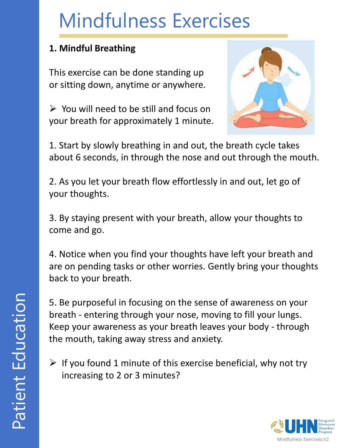#### **1. Mindful Breathing**

This exercise can be done standing up or sitting down, anytime or anywhere.

 $\triangleright$  You will need to be still and focus on your breath for approximately 1 minute.



1. Start by slowly breathing in and out, the breath cycle takes about 6 seconds, in through the nose and out through the mouth.

2. As you let your breath flow effortlessly in and out, let go of your thoughts.

3. By staying present with your breath, allow your thoughts to come and go.

4. Notice when you find your thoughts have left your breath and are on pending tasks or other worries. Gently bring your thoughts back to your breath.

5. Be purposeful in focusing on the sense of awareness on your breath - entering through your nose, moving to fill your lungs. Keep your awareness as your breath leaves your body - through the mouth, taking away stress and anxiety.

 $\triangleright$  If you found 1 minute of this exercise beneficial, why not try increasing to 2 or 3 minutes?

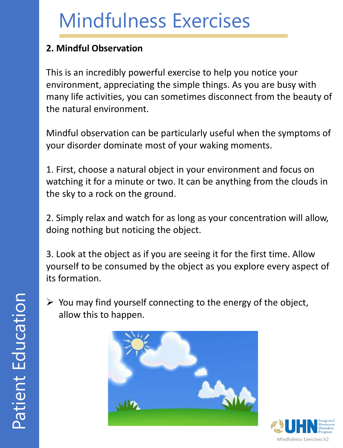#### **2. Mindful Observation**

This is an incredibly powerful exercise to help you notice your environment, appreciating the simple things. As you are busy with many life activities, you can sometimes disconnect from the beauty of the natural environment.

Mindful observation can be particularly useful when the symptoms of your disorder dominate most of your waking moments.

1. First, choose a natural object in your environment and focus on watching it for a minute or two. It can be anything from the clouds in the sky to a rock on the ground.

2. Simply relax and watch for as long as your concentration will allow, doing nothing but noticing the object.

3. Look at the object as if you are seeing it for the first time. Allow yourself to be consumed by the object as you explore every aspect of its formation.

 $\triangleright$  You may find yourself connecting to the energy of the object, allow this to happen.



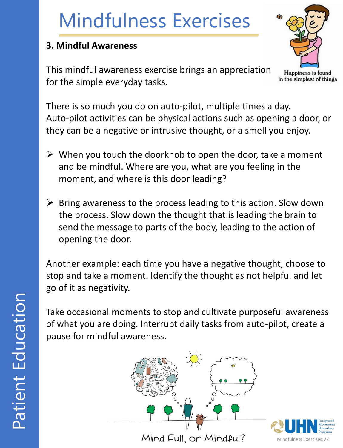#### **3. Mindful Awareness**

This mindful awareness exercise brings an appreciation for the simple everyday tasks.



There is so much you do on auto-pilot, multiple times a day. Auto-pilot activities can be physical actions such as opening a door, or they can be a negative or intrusive thought, or a smell you enjoy.

- $\triangleright$  When you touch the doorknob to open the door, take a moment and be mindful. Where are you, what are you feeling in the moment, and where is this door leading?
- $\triangleright$  Bring awareness to the process leading to this action. Slow down the process. Slow down the thought that is leading the brain to send the message to parts of the body, leading to the action of opening the door.

Another example: each time you have a negative thought, choose to stop and take a moment. Identify the thought as not helpful and let go of it as negativity.

Take occasional moments to stop and cultivate purposeful awareness of what you are doing. Interrupt daily tasks from auto-pilot, create a pause for mindful awareness.



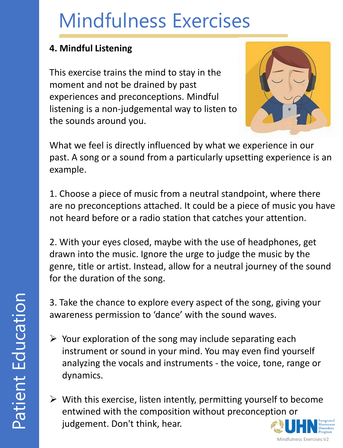#### **4. Mindful Listening**

This exercise trains the mind to stay in the moment and not be drained by past experiences and preconceptions. Mindful listening is a non-judgemental way to listen to the sounds around you.



What we feel is directly influenced by what we experience in our past. A song or a sound from a particularly upsetting experience is an example.

1. Choose a piece of music from a neutral standpoint, where there are no preconceptions attached. It could be a piece of music you have not heard before or a radio station that catches your attention.

2. With your eyes closed, maybe with the use of headphones, get drawn into the music. Ignore the urge to judge the music by the genre, title or artist. Instead, allow for a neutral journey of the sound for the duration of the song.

3. Take the chance to explore every aspect of the song, giving your awareness permission to 'dance' with the sound waves.

- $\triangleright$  Your exploration of the song may include separating each instrument or sound in your mind. You may even find yourself analyzing the vocals and instruments - the voice, tone, range or dynamics.
- $\triangleright$  With this exercise, listen intently, permitting yourself to become entwined with the composition without preconception or judgement. Don't think, hear.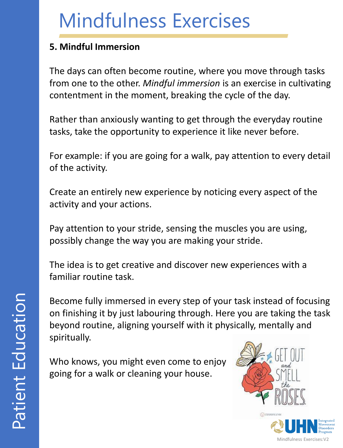#### **5. Mindful Immersion**

The days can often become routine, where you move through tasks from one to the other. *Mindful immersion* is an exercise in cultivating contentment in the moment, breaking the cycle of the day.

Rather than anxiously wanting to get through the everyday routine tasks, take the opportunity to experience it like never before.

For example: if you are going for a walk, pay attention to every detail of the activity.

Create an entirely new experience by noticing every aspect of the activity and your actions.

Pay attention to your stride, sensing the muscles you are using, possibly change the way you are making your stride.

The idea is to get creative and discover new experiences with a familiar routine task.

Become fully immersed in every step of your task instead of focusing on finishing it by just labouring through. Here you are taking the task beyond routine, aligning yourself with it physically, mentally and spiritually.

Who knows, you might even come to enjoy going for a walk or cleaning your house.



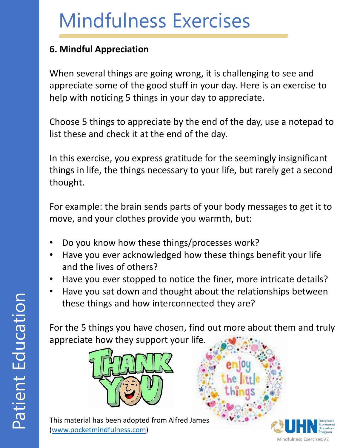#### **6. Mindful Appreciation**

When several things are going wrong, it is challenging to see and appreciate some of the good stuff in your day. Here is an exercise to help with noticing 5 things in your day to appreciate.

Choose 5 things to appreciate by the end of the day, use a notepad to list these and check it at the end of the day.

In this exercise, you express gratitude for the seemingly insignificant things in life, the things necessary to your life, but rarely get a second thought.

For example: the brain sends parts of your body messages to get it to move, and your clothes provide you warmth, but:

- Do you know how these things/processes work?
- Have you ever acknowledged how these things benefit your life and the lives of others?
- Have you ever stopped to notice the finer, more intricate details?
- Have you sat down and thought about the relationships between these things and how interconnected they are?

For the 5 things you have chosen, find out more about them and truly appreciate how they support your life.



This material has been adopted from Alfred James [\(www.pocketmindfulness.com\)](http://www.pocketmindfulness.com/)

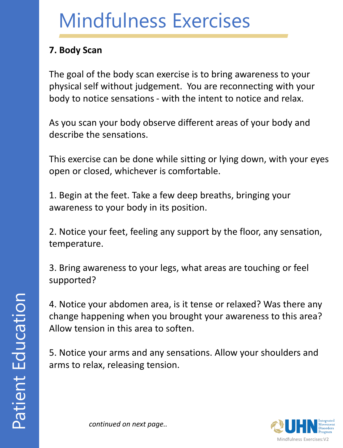#### **7. Body Scan**

The goal of the body scan exercise is to bring awareness to your physical self without judgement. You are reconnecting with your body to notice sensations - with the intent to notice and relax.

As you scan your body observe different areas of your body and describe the sensations.

This exercise can be done while sitting or lying down, with your eyes open or closed, whichever is comfortable.

1. Begin at the feet. Take a few deep breaths, bringing your awareness to your body in its position.

2. Notice your feet, feeling any support by the floor, any sensation, temperature.

3. Bring awareness to your legs, what areas are touching or feel supported?

4. Notice your abdomen area, is it tense or relaxed? Was there any change happening when you brought your awareness to this area? Allow tension in this area to soften.

5. Notice your arms and any sensations. Allow your shoulders and arms to relax, releasing tension.



*continued on next page..*